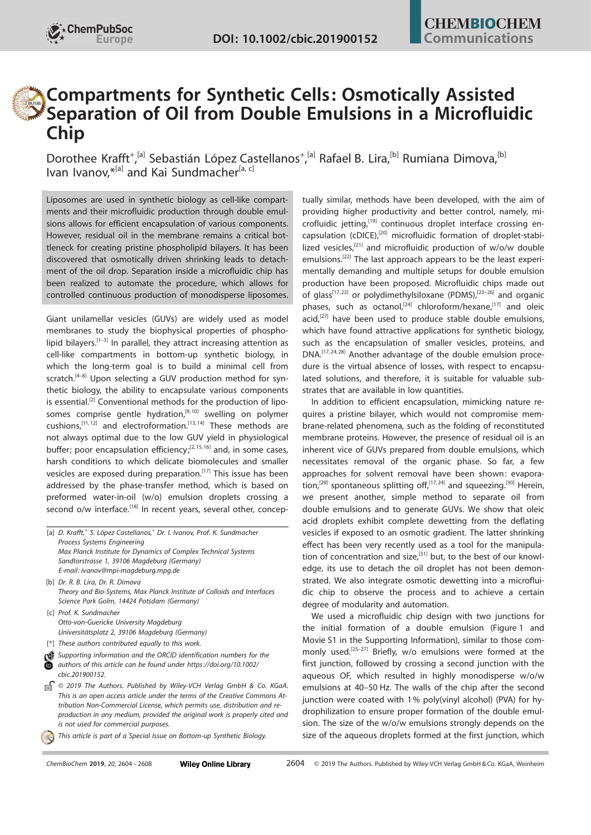

## Compartments for Synthetic Cells: Osmotically Assisted Separation of Oil from Double Emulsions in a Microfluidic Chip

Dorothee Krafft<sup>[+](http://orcid.org/0000-0002-2690-2294)</sup>,<sup>[a]</sup> Sebastián López Castellanos<sup>+</sup>,<sup>[a]</sup> [Rafael B. Lira](http://orcid.org/0000-0001-7362-5827),<sup>[b]</sup> [Rumiana Dimova,](http://orcid.org/0000-0002-3872-8502)<sup>[b]</sup> [Ivan](http://orcid.org/0000-0002-4675-5287) [Ivanov,](http://orcid.org/0000-0002-4675-5287) \*<sup>[a]</sup> and [Kai](http://orcid.org/0000-0003-3251-0593) [Sundmacher](http://orcid.org/0000-0003-3251-0593)<sup>[a, c]</sup>

Liposomes are used in synthetic biology as cell-like compartments and their microfluidic production through double emulsions allows for efficient encapsulation of various components. However, residual oil in the membrane remains a critical bottleneck for creating pristine phospholipid bilayers. It has been discovered that osmotically driven shrinking leads to detachment of the oil drop. Separation inside a microfluidic chip has been realized to automate the procedure, which allows for controlled continuous production of monodisperse liposomes.

Giant unilamellar vesicles (GUVs) are widely used as model membranes to study the biophysical properties of phospholipid bilayers.<sup>[1–3]</sup> In parallel, they attract increasing attention as cell-like compartments in bottom-up synthetic biology, in which the long-term goal is to build a minimal cell from scratch.<sup>[4–8]</sup> Upon selecting a GUV production method for synthetic biology, the ability to encapsulate various components is essential.<sup>[2]</sup> Conventional methods for the production of liposomes comprise gentle hydration, $[9,10]$  swelling on polymer cushions, $[11,12]$  and electroformation. $[13,14]$  These methods are not always optimal due to the low GUV yield in physiological buffer; poor encapsulation efficiency;<sup>[2, 15, 16]</sup> and, in some cases, harsh conditions to which delicate biomolecules and smaller vesicles are exposed during preparation.<sup>[17]</sup> This issue has been addressed by the phase-transfer method, which is based on preformed water-in-oil (w/o) emulsion droplets crossing a second o/w interface.<sup>[18]</sup> In recent years, several other, concep-

- [a] D. Krafft,<sup>+</sup> S. López Castellanos,<sup>+</sup> Dr. I. Ivanov, Prof. K. Sundmacher Process Systems Engineering Max Planck Institute for Dynamics of Complex Technical Systems Sandtorstrasse 1, 39106 Magdeburg (Germany) E-mail: ivanov@mpi-magdeburg.mpg.de
- [b] Dr. R. B. Lira, Dr. R. Dimova Theory and Bio-Systems, Max Planck Institute of Colloids and Interfaces Science Park Golm, 14424 Potsdam (Germany)
- [c] Prof. K. Sundmacher Otto-von-Guericke University Magdeburg Universitätsplatz 2, 39106 Magdeburg (Germany)
- [<sup>+</sup>] These authors contributed equally to this work.
- Supporting information and the ORCID identification numbers for the authors of this article can be found under [https://doi.org/10.1002/](https://doi.org/10.1002/cbic.201900152) [cbic.201900152.](https://doi.org/10.1002/cbic.201900152)
- $\Box$  © 2019 The Authors. Published by Wiley-VCH Verlag GmbH & Co. KGaA. This is an open access article under the terms of the Creative [Commons](http://creativecommons.org/licenses/by-nc/4.0/) At[tribution Non-Commercial](http://creativecommons.org/licenses/by-nc/4.0/) License, which permits use, distribution and reproduction in any medium, provided the original work is properly cited and is not used for commercial purposes.
	- This article is part of a Special Issue on Bottom-up Synthetic Biology.

tually similar, methods have been developed, with the aim of providing higher productivity and better control, namely, microfluidic jetting,<sup>[19]</sup> continuous droplet interface crossing encapsulation (cDICE),[20] microfluidic formation of droplet-stabilized vesicles,<sup>[21]</sup> and microfluidic production of  $w/o/w$  double emulsions.<sup>[22]</sup> The last approach appears to be the least experimentally demanding and multiple setups for double emulsion production have been proposed. Microfluidic chips made out of glass<sup>[17,22]</sup> or polydimethylsiloxane (PDMS),<sup>[23-26]</sup> and organic phases, such as octanol,<sup>[24]</sup> chloroform/hexane,<sup>[17]</sup> and oleic  $acid<sub>1</sub><sup>[27]</sup>$  have been used to produce stable double emulsions, which have found attractive applications for synthetic biology, such as the encapsulation of smaller vesicles, proteins, and DNA.<sup>[17, 24, 28]</sup> Another advantage of the double emulsion procedure is the virtual absence of losses, with respect to encapsulated solutions, and therefore, it is suitable for valuable substrates that are available in low quantities.

In addition to efficient encapsulation, mimicking nature requires a pristine bilayer, which would not compromise membrane-related phenomena, such as the folding of reconstituted membrane proteins. However, the presence of residual oil is an inherent vice of GUVs prepared from double emulsions, which necessitates removal of the organic phase. So far, a few approaches for solvent removal have been shown: evaporation,<sup>[29]</sup> spontaneous splitting off,<sup>[17,24]</sup> and squeezing.<sup>[30]</sup> Herein, we present another, simple method to separate oil from double emulsions and to generate GUVs. We show that oleic acid droplets exhibit complete dewetting from the deflating vesicles if exposed to an osmotic gradient. The latter shrinking effect has been very recently used as a tool for the manipulation of concentration and size, $[31]$  but, to the best of our knowledge, its use to detach the oil droplet has not been demonstrated. We also integrate osmotic dewetting into a microfluidic chip to observe the process and to achieve a certain degree of modularity and automation.

We used a microfluidic chip design with two junctions for the initial formation of a double emulsion (Figure 1 and Movie S1 in the Supporting Information), similar to those commonly used.<sup>[25-27]</sup> Briefly, w/o emulsions were formed at the first junction, followed by crossing a second junction with the aqueous OF, which resulted in highly monodisperse w/o/w emulsions at 40–50 Hz. The walls of the chip after the second junction were coated with 1% poly(vinyl alcohol) (PVA) for hydrophilization to ensure proper formation of the double emulsion. The size of the w/o/w emulsions strongly depends on the size of the aqueous droplets formed at the first junction, which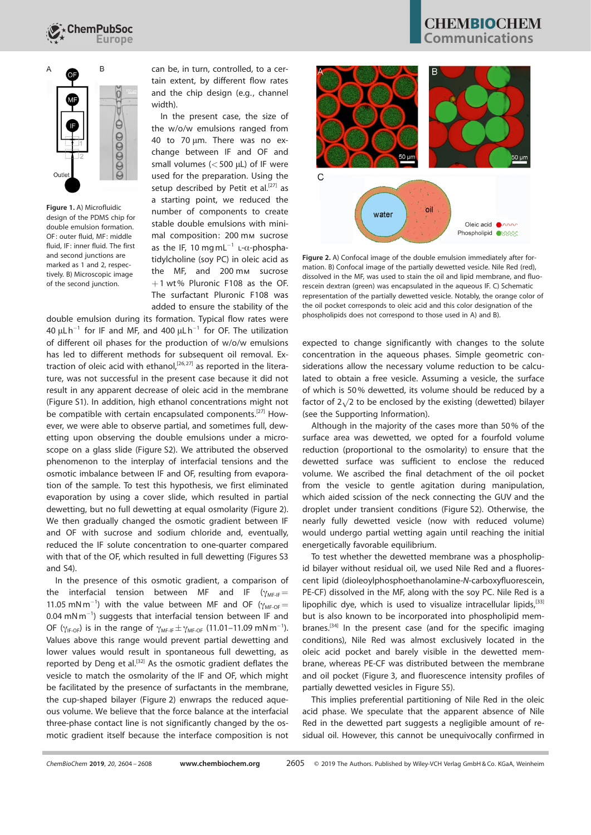

# $\mathsf B$ Iè  $0000$

Figure 1. A) Microfluidic design of the PDMS chip for double emulsion formation. OF: outer fluid, MF: middle fluid, IF: inner fluid. The first and second junctions are marked as 1 and 2, respectively. B) Microscopic image of the second junction.

can be, in turn, controlled, to a certain extent, by different flow rates and the chip design (e.g., channel width).

In the present case, the size of the w/o/w emulsions ranged from 40 to 70 µm. There was no exchange between IF and OF and small volumes  $(<500 \mu L$ ) of IF were used for the preparation. Using the setup described by Petit et al.<sup>[27]</sup> as a starting point, we reduced the number of components to create stable double emulsions with minimal composition: 200 mm sucrose as the IF, 10 mg mL $^{-1}$  L- $\alpha$ -phosphatidylcholine (soy PC) in oleic acid as the MF, and 200 mm sucrose  $+1$  wt% Pluronic F108 as the OF. The surfactant Pluronic F108 was added to ensure the stability of the

double emulsion during its formation. Typical flow rates were 40  $\mu$ Lh<sup>-1</sup> for IF and MF, and 400  $\mu$ Lh<sup>-1</sup> for OF. The utilization of different oil phases for the production of w/o/w emulsions has led to different methods for subsequent oil removal. Extraction of oleic acid with ethanol,<sup>[26,27]</sup> as reported in the literature, was not successful in the present case because it did not result in any apparent decrease of oleic acid in the membrane (Figure S1). In addition, high ethanol concentrations might not be compatible with certain encapsulated components.<sup>[27]</sup> However, we were able to observe partial, and sometimes full, dewetting upon observing the double emulsions under a microscope on a glass slide (Figure S2). We attributed the observed phenomenon to the interplay of interfacial tensions and the osmotic imbalance between IF and OF, resulting from evaporation of the sample. To test this hypothesis, we first eliminated evaporation by using a cover slide, which resulted in partial dewetting, but no full dewetting at equal osmolarity (Figure 2). We then gradually changed the osmotic gradient between IF and OF with sucrose and sodium chloride and, eventually, reduced the IF solute concentration to one-quarter compared with that of the OF, which resulted in full dewetting (Figures S3 and S4).

In the presence of this osmotic gradient, a comparison of the interfacial tension between MF and IF ( $\gamma_{\text{ME-IF}}=$ 11.05 mN m<sup>-1</sup>) with the value between MF and OF ( $\gamma_{MF-OF}$  $0.04$  mN m<sup>-1</sup>) suggests that interfacial tension between IF and OF ( $\gamma_{\text{IF-OF}}$ ) is in the range of  $\gamma_{\text{MF-IF}} \pm \gamma_{\text{MF-OF}}$  (11.01–11.09 mNm<sup>-1</sup>). Values above this range would prevent partial dewetting and lower values would result in spontaneous full dewetting, as reported by Deng et al.<sup>[32]</sup> As the osmotic gradient deflates the vesicle to match the osmolarity of the IF and OF, which might be facilitated by the presence of surfactants in the membrane, the cup-shaped bilayer (Figure 2) enwraps the reduced aqueous volume. We believe that the force balance at the interfacial three-phase contact line is not significantly changed by the osmotic gradient itself because the interface composition is not

## **CHEMBIOCHEM** .cmmunications



Figure 2. A) Confocal image of the double emulsion immediately after formation. B) Confocal image of the partially dewetted vesicle. Nile Red (red), dissolved in the MF, was used to stain the oil and lipid membrane, and fluorescein dextran (green) was encapsulated in the aqueous IF. C) Schematic representation of the partially dewetted vesicle. Notably, the orange color of the oil pocket corresponds to oleic acid and this color designation of the phospholipids does not correspond to those used in A) and B).

expected to change significantly with changes to the solute concentration in the aqueous phases. Simple geometric considerations allow the necessary volume reduction to be calculated to obtain a free vesicle. Assuming a vesicle, the surface of which is 50% dewetted, its volume should be reduced by a  $\frac{1}{2}$  factor of  $2\sqrt{2}$  to be enclosed by the existing (dewetted) bilayer (see the Supporting Information).

Although in the majority of the cases more than 50% of the surface area was dewetted, we opted for a fourfold volume reduction (proportional to the osmolarity) to ensure that the dewetted surface was sufficient to enclose the reduced volume. We ascribed the final detachment of the oil pocket from the vesicle to gentle agitation during manipulation, which aided scission of the neck connecting the GUV and the droplet under transient conditions (Figure S2). Otherwise, the nearly fully dewetted vesicle (now with reduced volume) would undergo partial wetting again until reaching the initial energetically favorable equilibrium.

To test whether the dewetted membrane was a phospholipid bilayer without residual oil, we used Nile Red and a fluorescent lipid (dioleoylphosphoethanolamine-N-carboxyfluorescein, PE-CF) dissolved in the MF, along with the soy PC. Nile Red is a lipophilic dye, which is used to visualize intracellular lipids, [33] but is also known to be incorporated into phospholipid membranes.<sup>[34]</sup> In the present case (and for the specific imaging conditions), Nile Red was almost exclusively located in the oleic acid pocket and barely visible in the dewetted membrane, whereas PE-CF was distributed between the membrane and oil pocket (Figure 3, and fluorescence intensity profiles of partially dewetted vesicles in Figure S5).

This implies preferential partitioning of Nile Red in the oleic acid phase. We speculate that the apparent absence of Nile Red in the dewetted part suggests a negligible amount of residual oil. However, this cannot be unequivocally confirmed in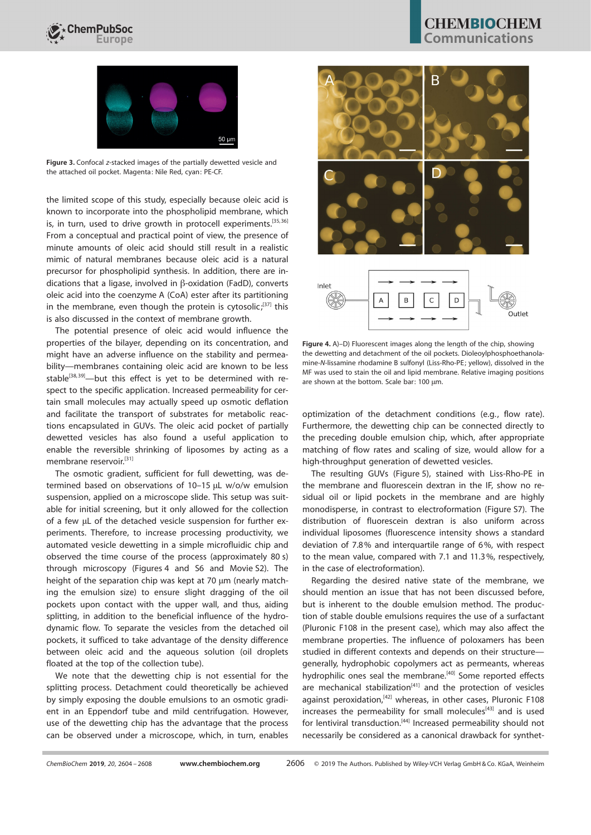



Figure 3. Confocal z-stacked images of the partially dewetted vesicle and the attached oil pocket. Magenta: Nile Red, cyan: PE-CF.

the limited scope of this study, especially because oleic acid is known to incorporate into the phospholipid membrane, which is, in turn, used to drive growth in protocell experiments.<sup>[35,36]</sup> From a conceptual and practical point of view, the presence of minute amounts of oleic acid should still result in a realistic mimic of natural membranes because oleic acid is a natural precursor for phospholipid synthesis. In addition, there are indications that a ligase, involved in  $\beta$ -oxidation (FadD), converts oleic acid into the coenzyme A (CoA) ester after its partitioning in the membrane, even though the protein is cytosolic; $37$  this is also discussed in the context of membrane growth.

The potential presence of oleic acid would influence the properties of the bilayer, depending on its concentration, and might have an adverse influence on the stability and permeability—membranes containing oleic acid are known to be less stable<sup>[38,39]</sup>—but this effect is yet to be determined with respect to the specific application. Increased permeability for certain small molecules may actually speed up osmotic deflation and facilitate the transport of substrates for metabolic reactions encapsulated in GUVs. The oleic acid pocket of partially dewetted vesicles has also found a useful application to enable the reversible shrinking of liposomes by acting as a membrane reservoir.<sup>[31]</sup>

The osmotic gradient, sufficient for full dewetting, was determined based on observations of 10-15 µL w/o/w emulsion suspension, applied on a microscope slide. This setup was suitable for initial screening, but it only allowed for the collection of a few µL of the detached vesicle suspension for further experiments. Therefore, to increase processing productivity, we automated vesicle dewetting in a simple microfluidic chip and observed the time course of the process (approximately 80 s) through microscopy (Figures 4 and S6 and Movie S2). The height of the separation chip was kept at 70 µm (nearly matching the emulsion size) to ensure slight dragging of the oil pockets upon contact with the upper wall, and thus, aiding splitting, in addition to the beneficial influence of the hydrodynamic flow. To separate the vesicles from the detached oil pockets, it sufficed to take advantage of the density difference between oleic acid and the aqueous solution (oil droplets floated at the top of the collection tube).

We note that the dewetting chip is not essential for the splitting process. Detachment could theoretically be achieved by simply exposing the double emulsions to an osmotic gradient in an Eppendorf tube and mild centrifugation. However, use of the dewetting chip has the advantage that the process can be observed under a microscope, which, in turn, enables



Figure 4. A)–D) Fluorescent images along the length of the chip, showing the dewetting and detachment of the oil pockets. Dioleoylphosphoethanolamine-N-lissamine rhodamine B sulfonyl (Liss-Rho-PE; yellow), dissolved in the MF was used to stain the oil and lipid membrane. Relative imaging positions are shown at the bottom. Scale bar: 100 um.

optimization of the detachment conditions (e.g., flow rate). Furthermore, the dewetting chip can be connected directly to the preceding double emulsion chip, which, after appropriate matching of flow rates and scaling of size, would allow for a high-throughput generation of dewetted vesicles.

The resulting GUVs (Figure 5), stained with Liss-Rho-PE in the membrane and fluorescein dextran in the IF, show no residual oil or lipid pockets in the membrane and are highly monodisperse, in contrast to electroformation (Figure S7). The distribution of fluorescein dextran is also uniform across individual liposomes (fluorescence intensity shows a standard deviation of 7.8% and interquartile range of 6%, with respect to the mean value, compared with 7.1 and 11.3%, respectively, in the case of electroformation).

Regarding the desired native state of the membrane, we should mention an issue that has not been discussed before, but is inherent to the double emulsion method. The production of stable double emulsions requires the use of a surfactant (Pluronic F108 in the present case), which may also affect the membrane properties. The influence of poloxamers has been studied in different contexts and depends on their structure generally, hydrophobic copolymers act as permeants, whereas hydrophilic ones seal the membrane.<sup>[40]</sup> Some reported effects are mechanical stabilization $[41]$  and the protection of vesicles against peroxidation,<sup>[42]</sup> whereas, in other cases, Pluronic F108 increases the permeability for small molecules<sup>[43]</sup> and is used for lentiviral transduction.<sup>[44]</sup> Increased permeability should not necessarily be considered as a canonical drawback for synthet-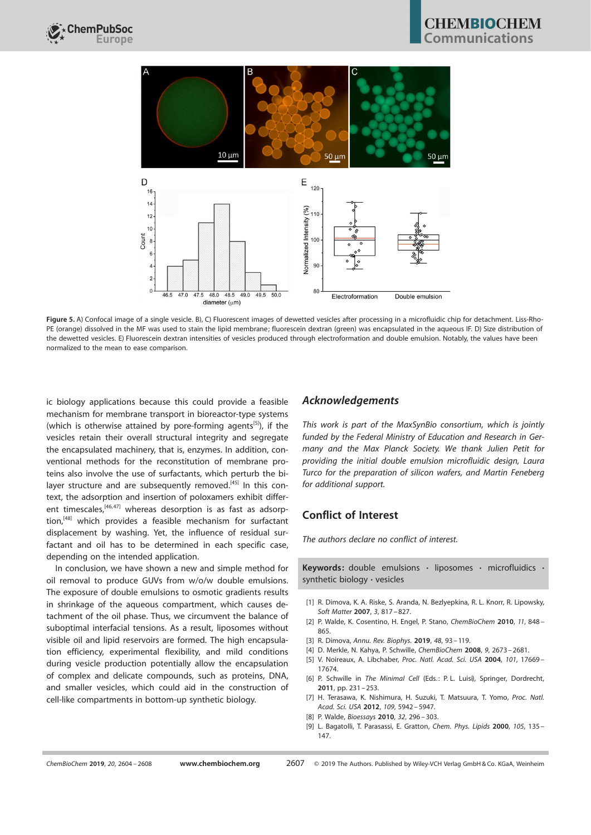

Figure 5. A) Confocal image of a single vesicle. B), C) Fluorescent images of dewetted vesicles after processing in a microfluidic chip for detachment. Liss-Rho-PE (orange) dissolved in the MF was used to stain the lipid membrane; fluorescein dextran (green) was encapsulated in the aqueous IF. D) Size distribution of the dewetted vesicles. E) Fluorescein dextran intensities of vesicles produced through electroformation and double emulsion. Notably, the values have been normalized to the mean to ease comparison.

ic biology applications because this could provide a feasible mechanism for membrane transport in bioreactor-type systems (which is otherwise attained by pore-forming agents<sup>[5]</sup>), if the vesicles retain their overall structural integrity and segregate the encapsulated machinery, that is, enzymes. In addition, conventional methods for the reconstitution of membrane proteins also involve the use of surfactants, which perturb the bilayer structure and are subsequently removed.<sup>[45]</sup> In this context, the adsorption and insertion of poloxamers exhibit different timescales, $[46,47]$  whereas desorption is as fast as adsorption,<sup>[48]</sup> which provides a feasible mechanism for surfactant displacement by washing. Yet, the influence of residual surfactant and oil has to be determined in each specific case, depending on the intended application.

In conclusion, we have shown a new and simple method for oil removal to produce GUVs from w/o/w double emulsions. The exposure of double emulsions to osmotic gradients results in shrinkage of the aqueous compartment, which causes detachment of the oil phase. Thus, we circumvent the balance of suboptimal interfacial tensions. As a result, liposomes without visible oil and lipid reservoirs are formed. The high encapsulation efficiency, experimental flexibility, and mild conditions during vesicle production potentially allow the encapsulation of complex and delicate compounds, such as proteins, DNA, and smaller vesicles, which could aid in the construction of cell-like compartments in bottom-up synthetic biology.

#### Acknowledgements

This work is part of the MaxSynBio consortium, which is jointly funded by the Federal Ministry of Education and Research in Germany and the Max Planck Society. We thank Julien Petit for providing the initial double emulsion microfluidic design, Laura Turco for the preparation of silicon wafers, and Martin Feneberg for additional support.

#### Conflict of Interest

The authors declare no conflict of interest.

Keywords: double emulsions · liposomes · microfluidics · synthetic biology · vesicles

- [1] R. Dimova, K. A. Riske, S. Aranda, N. Bezlyepkina, R. L. Knorr, R. Lipowsky, Soft [Matter](https://doi.org/10.1039/b703580b) 2007, 3, 817 – 827.
- [2] P. Walde, K. Cosentino, H. Engel, P. Stano, [ChemBioChem](https://doi.org/10.1002/cbic.201000010) 2010, 11, 848 -[865.](https://doi.org/10.1002/cbic.201000010)
- [3] R. Dimova, Annu. [Rev. Biophys.](https://doi.org/10.1146/annurev-biophys-052118-115342) 2019, 48, 93 –119.
- [4] D. Merkle, N. Kahya, P. Schwille, [ChemBioChem](https://doi.org/10.1002/cbic.200800340) 2008, 9, 2673– 2681.
- [5] V. Noireaux, A. Libchaber, Proc. Natl. Acad. Sci. USA 2004, 101[, 17669](https://doi.org/10.1073/pnas.0408236101)-[17674](https://doi.org/10.1073/pnas.0408236101).
- [6] P. Schwille in The Minimal Cell (Eds.: P. L. Luisi), Springer, Dordrecht, 2011, pp. 231 – 253.
- [7] H. Terasawa, K. Nishimura, H. Suzuki, T. Matsuura, T. Yomo, [Proc.](https://doi.org/10.1073/pnas.1120327109) Natl. Acad. Sci. USA 2012, 109[, 5942– 5947](https://doi.org/10.1073/pnas.1120327109).
- [8] P. Walde, [Bioessays](https://doi.org/10.1002/bies.200900141) 2010, 32, 296 303.
- [9] L. Bagatolli, T. Parasassi, E. Gratton, [Chem.](https://doi.org/10.1016/S0009-3084(00)00118-3) Phys. Lipids 2000, 105, 135-[147.](https://doi.org/10.1016/S0009-3084(00)00118-3)